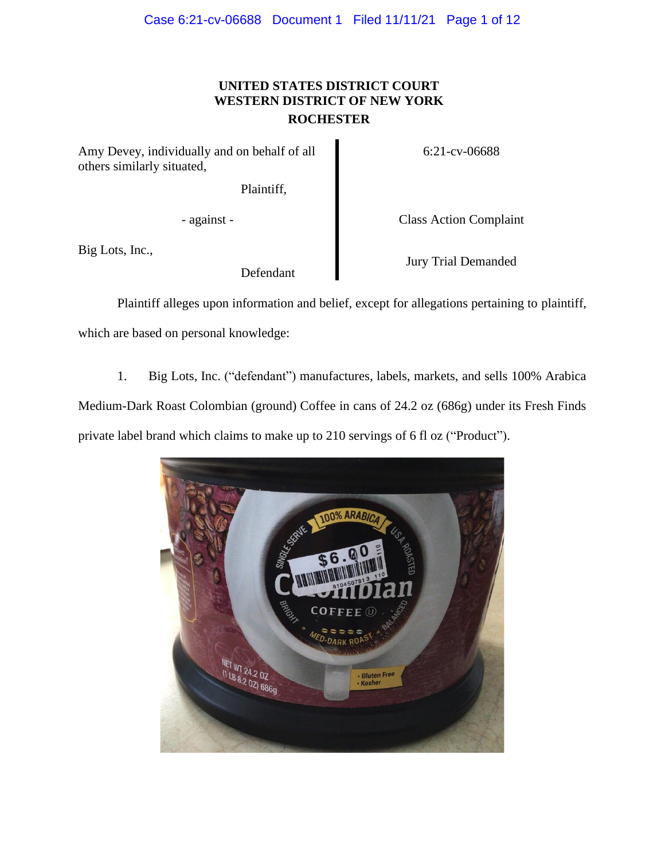## **UNITED STATES DISTRICT COURT WESTERN DISTRICT OF NEW YORK ROCHESTER**

Amy Devey, individually and on behalf of all others similarly situated,

Plaintiff,

Big Lots, Inc.,

Defendant

6:21-cv-06688

- against - Class Action Complaint

Jury Trial Demanded

Plaintiff alleges upon information and belief, except for allegations pertaining to plaintiff, which are based on personal knowledge:

1. Big Lots, Inc. ("defendant") manufactures, labels, markets, and sells 100% Arabica

Medium-Dark Roast Colombian (ground) Coffee in cans of 24.2 oz (686g) under its Fresh Finds

private label brand which claims to make up to 210 servings of 6 fl oz ("Product").

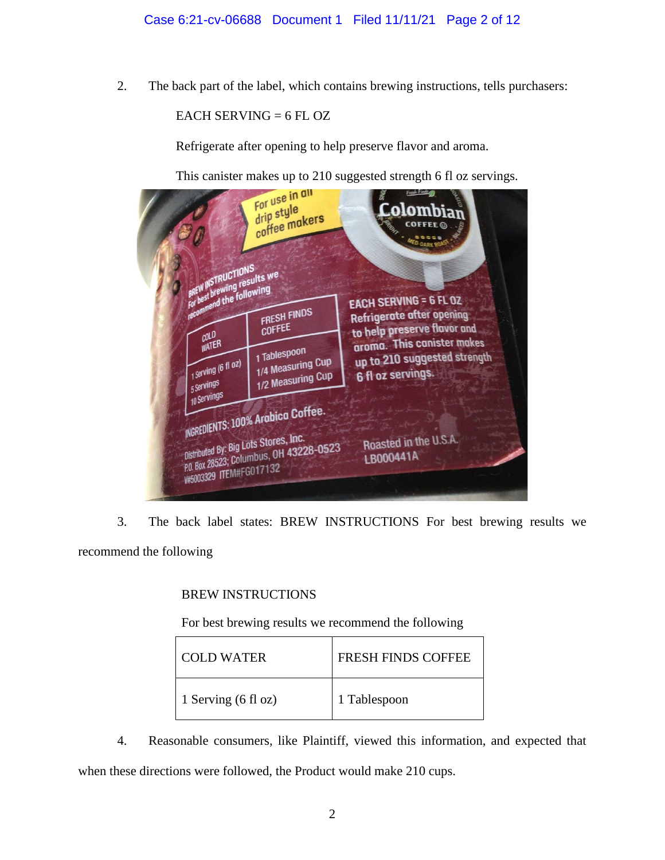2. The back part of the label, which contains brewing instructions, tells purchasers:

EACH SERVING  $= 6$  FL OZ

Refrigerate after opening to help preserve flavor and aroma.



3. The back label states: BREW INSTRUCTIONS For best brewing results we recommend the following

## BREW INSTRUCTIONS

For best brewing results we recommend the following

| COLD WATER          | <b>FRESH FINDS COFFEE</b> |
|---------------------|---------------------------|
| 1 Serving (6 fl oz) | 1 Tablespoon              |

4. Reasonable consumers, like Plaintiff, viewed this information, and expected that when these directions were followed, the Product would make 210 cups.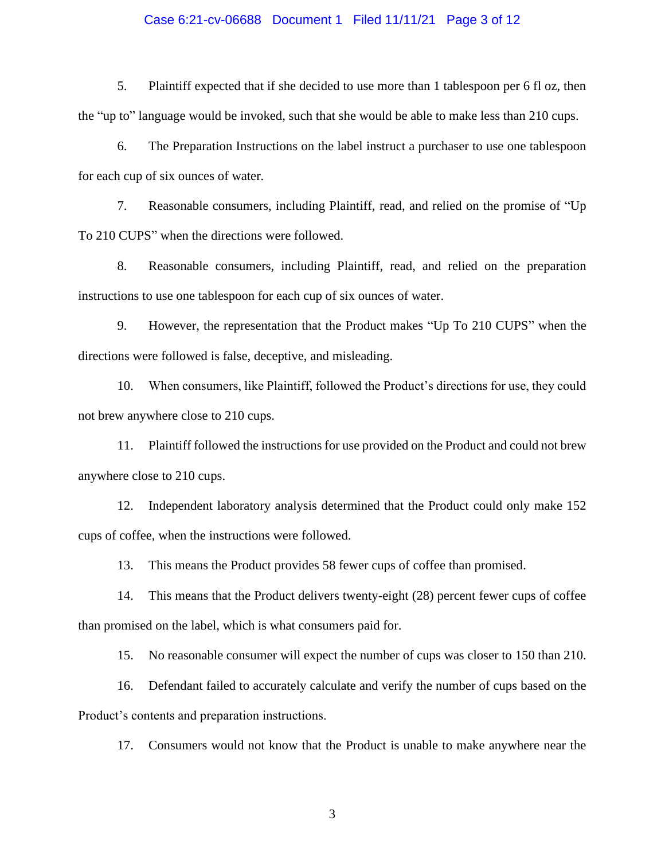## Case 6:21-cv-06688 Document 1 Filed 11/11/21 Page 3 of 12

5. Plaintiff expected that if she decided to use more than 1 tablespoon per 6 fl oz, then the "up to" language would be invoked, such that she would be able to make less than 210 cups.

6. The Preparation Instructions on the label instruct a purchaser to use one tablespoon for each cup of six ounces of water.

7. Reasonable consumers, including Plaintiff, read, and relied on the promise of "Up To 210 CUPS" when the directions were followed.

8. Reasonable consumers, including Plaintiff, read, and relied on the preparation instructions to use one tablespoon for each cup of six ounces of water.

9. However, the representation that the Product makes "Up To 210 CUPS" when the directions were followed is false, deceptive, and misleading.

10. When consumers, like Plaintiff, followed the Product's directions for use, they could not brew anywhere close to 210 cups.

11. Plaintiff followed the instructions for use provided on the Product and could not brew anywhere close to 210 cups.

12. Independent laboratory analysis determined that the Product could only make 152 cups of coffee, when the instructions were followed.

13. This means the Product provides 58 fewer cups of coffee than promised.

14. This means that the Product delivers twenty-eight (28) percent fewer cups of coffee than promised on the label, which is what consumers paid for.

15. No reasonable consumer will expect the number of cups was closer to 150 than 210.

16. Defendant failed to accurately calculate and verify the number of cups based on the Product's contents and preparation instructions.

17. Consumers would not know that the Product is unable to make anywhere near the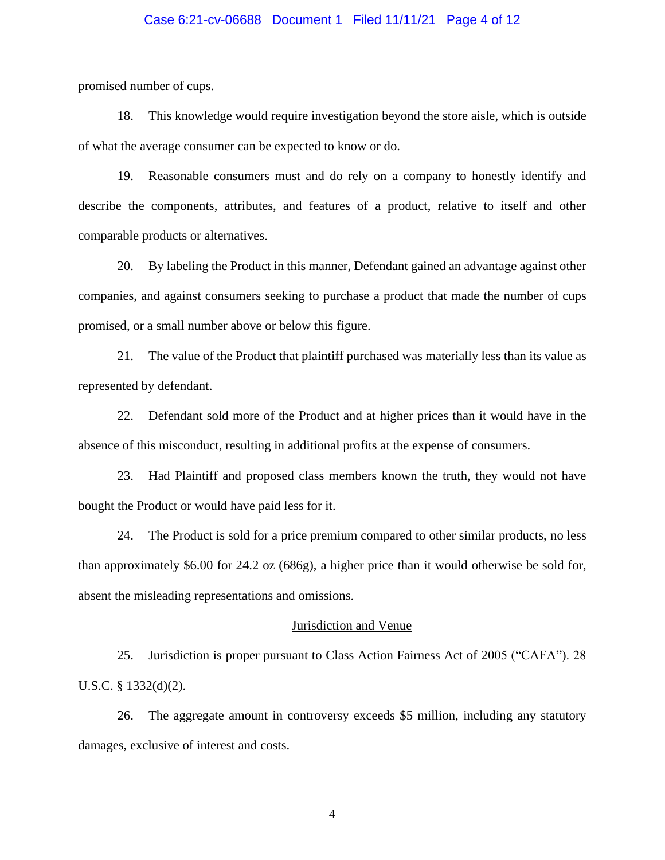## Case 6:21-cv-06688 Document 1 Filed 11/11/21 Page 4 of 12

promised number of cups.

18. This knowledge would require investigation beyond the store aisle, which is outside of what the average consumer can be expected to know or do.

19. Reasonable consumers must and do rely on a company to honestly identify and describe the components, attributes, and features of a product, relative to itself and other comparable products or alternatives.

20. By labeling the Product in this manner, Defendant gained an advantage against other companies, and against consumers seeking to purchase a product that made the number of cups promised, or a small number above or below this figure.

21. The value of the Product that plaintiff purchased was materially less than its value as represented by defendant.

22. Defendant sold more of the Product and at higher prices than it would have in the absence of this misconduct, resulting in additional profits at the expense of consumers.

23. Had Plaintiff and proposed class members known the truth, they would not have bought the Product or would have paid less for it.

24. The Product is sold for a price premium compared to other similar products, no less than approximately \$6.00 for 24.2 oz (686g), a higher price than it would otherwise be sold for, absent the misleading representations and omissions.

#### Jurisdiction and Venue

25. Jurisdiction is proper pursuant to Class Action Fairness Act of 2005 ("CAFA"). 28 U.S.C. § 1332(d)(2).

26. The aggregate amount in controversy exceeds \$5 million, including any statutory damages, exclusive of interest and costs.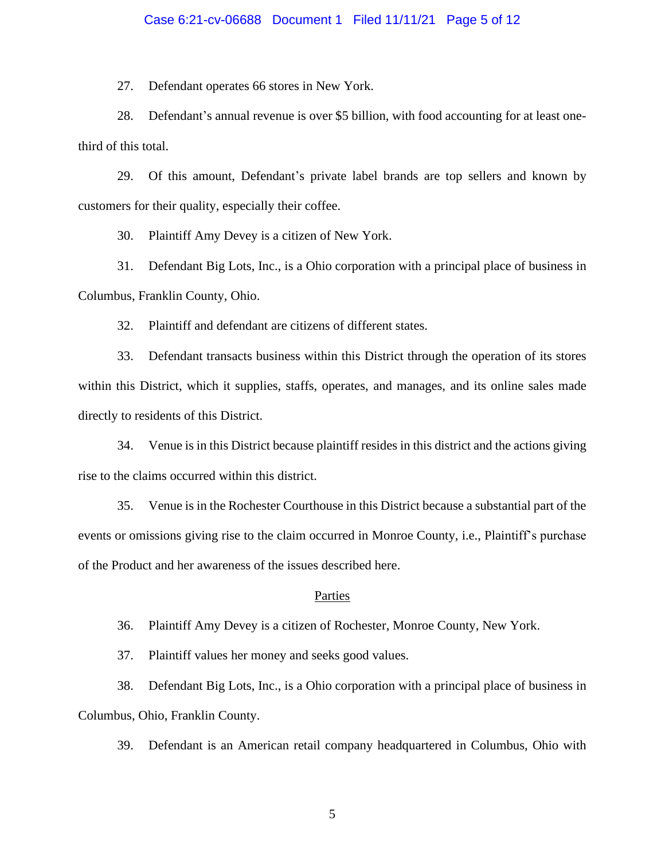### Case 6:21-cv-06688 Document 1 Filed 11/11/21 Page 5 of 12

27. Defendant operates 66 stores in New York.

28. Defendant's annual revenue is over \$5 billion, with food accounting for at least onethird of this total.

29. Of this amount, Defendant's private label brands are top sellers and known by customers for their quality, especially their coffee.

30. Plaintiff Amy Devey is a citizen of New York.

31. Defendant Big Lots, Inc., is a Ohio corporation with a principal place of business in Columbus, Franklin County, Ohio.

32. Plaintiff and defendant are citizens of different states.

33. Defendant transacts business within this District through the operation of its stores within this District, which it supplies, staffs, operates, and manages, and its online sales made directly to residents of this District.

34. Venue is in this District because plaintiff resides in this district and the actions giving rise to the claims occurred within this district.

35. Venue is in the Rochester Courthouse in this District because a substantial part of the events or omissions giving rise to the claim occurred in Monroe County, i.e., Plaintiff's purchase of the Product and her awareness of the issues described here.

#### Parties

36. Plaintiff Amy Devey is a citizen of Rochester, Monroe County, New York.

37. Plaintiff values her money and seeks good values.

38. Defendant Big Lots, Inc., is a Ohio corporation with a principal place of business in Columbus, Ohio, Franklin County.

39. Defendant is an American retail company headquartered in Columbus, Ohio with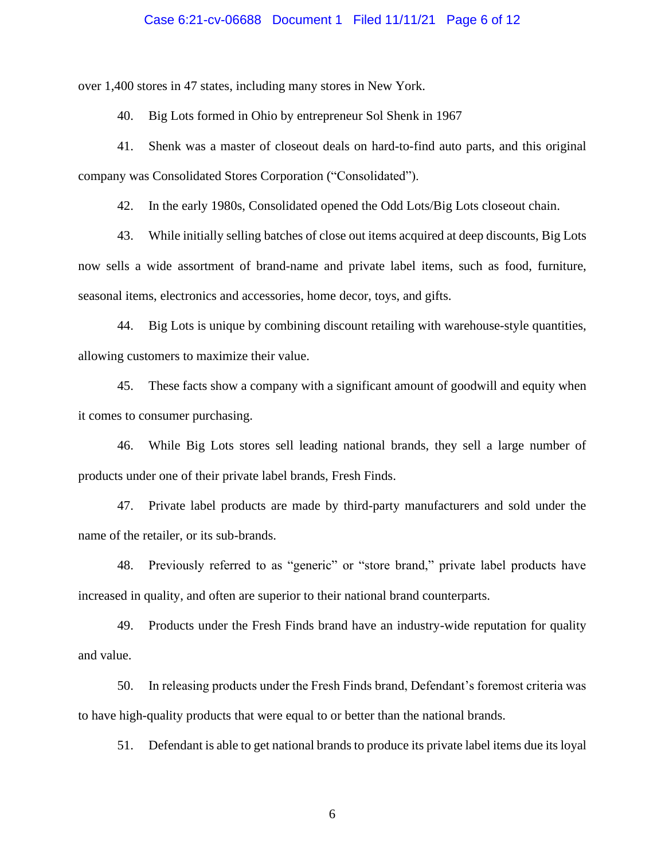### Case 6:21-cv-06688 Document 1 Filed 11/11/21 Page 6 of 12

over 1,400 stores in 47 states, including many stores in New York.

40. Big Lots formed in Ohio by entrepreneur Sol Shenk in 1967

41. Shenk was a master of closeout deals on hard-to-find auto parts, and this original company was Consolidated Stores Corporation ("Consolidated").

42. In the early 1980s, Consolidated opened the Odd Lots/Big Lots closeout chain.

43. While initially selling batches of close out items acquired at deep discounts, Big Lots now sells a wide assortment of brand-name and private label items, such as food, furniture, seasonal items, electronics and accessories, home decor, toys, and gifts.

44. Big Lots is unique by combining discount retailing with warehouse-style quantities, allowing customers to maximize their value.

45. These facts show a company with a significant amount of goodwill and equity when it comes to consumer purchasing.

46. While Big Lots stores sell leading national brands, they sell a large number of products under one of their private label brands, Fresh Finds.

47. Private label products are made by third-party manufacturers and sold under the name of the retailer, or its sub-brands.

48. Previously referred to as "generic" or "store brand," private label products have increased in quality, and often are superior to their national brand counterparts.

49. Products under the Fresh Finds brand have an industry-wide reputation for quality and value.

50. In releasing products under the Fresh Finds brand, Defendant's foremost criteria was to have high-quality products that were equal to or better than the national brands.

51. Defendant is able to get national brands to produce its private label items due its loyal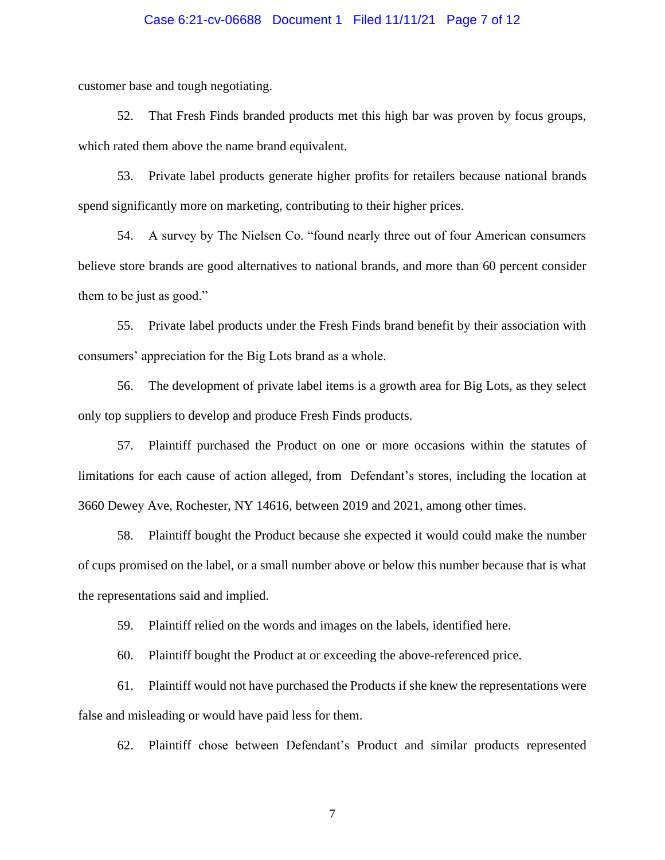## Case 6:21-cv-06688 Document 1 Filed 11/11/21 Page 7 of 12

customer base and tough negotiating.

52. That Fresh Finds branded products met this high bar was proven by focus groups, which rated them above the name brand equivalent.

53. Private label products generate higher profits for retailers because national brands spend significantly more on marketing, contributing to their higher prices.

54. A survey by The Nielsen Co. "found nearly three out of four American consumers believe store brands are good alternatives to national brands, and more than 60 percent consider them to be just as good."

55. Private label products under the Fresh Finds brand benefit by their association with consumers' appreciation for the Big Lots brand as a whole.

56. The development of private label items is a growth area for Big Lots, as they select only top suppliers to develop and produce Fresh Finds products.

57. Plaintiff purchased the Product on one or more occasions within the statutes of limitations for each cause of action alleged, from Defendant's stores, including the location at 3660 Dewey Ave, Rochester, NY 14616, between 2019 and 2021, among other times.

58. Plaintiff bought the Product because she expected it would could make the number of cups promised on the label, or a small number above or below this number because that is what the representations said and implied.

59. Plaintiff relied on the words and images on the labels, identified here.

60. Plaintiff bought the Product at or exceeding the above-referenced price.

61. Plaintiff would not have purchased the Products if she knew the representations were false and misleading or would have paid less for them.

62. Plaintiff chose between Defendant's Product and similar products represented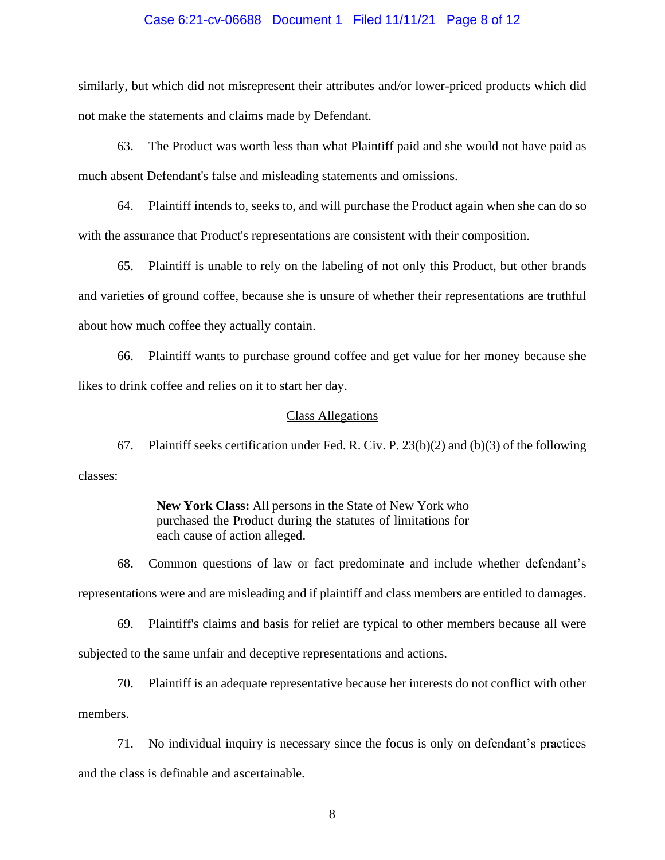## Case 6:21-cv-06688 Document 1 Filed 11/11/21 Page 8 of 12

similarly, but which did not misrepresent their attributes and/or lower-priced products which did not make the statements and claims made by Defendant.

63. The Product was worth less than what Plaintiff paid and she would not have paid as much absent Defendant's false and misleading statements and omissions.

64. Plaintiff intends to, seeks to, and will purchase the Product again when she can do so with the assurance that Product's representations are consistent with their composition.

65. Plaintiff is unable to rely on the labeling of not only this Product, but other brands and varieties of ground coffee, because she is unsure of whether their representations are truthful about how much coffee they actually contain.

66. Plaintiff wants to purchase ground coffee and get value for her money because she likes to drink coffee and relies on it to start her day.

#### Class Allegations

67. Plaintiff seeks certification under Fed. R. Civ. P. 23(b)(2) and (b)(3) of the following classes:

> **New York Class:** All persons in the State of New York who purchased the Product during the statutes of limitations for each cause of action alleged.

68. Common questions of law or fact predominate and include whether defendant's representations were and are misleading and if plaintiff and class members are entitled to damages.

69. Plaintiff's claims and basis for relief are typical to other members because all were subjected to the same unfair and deceptive representations and actions.

70. Plaintiff is an adequate representative because her interests do not conflict with other members.

71. No individual inquiry is necessary since the focus is only on defendant's practices and the class is definable and ascertainable.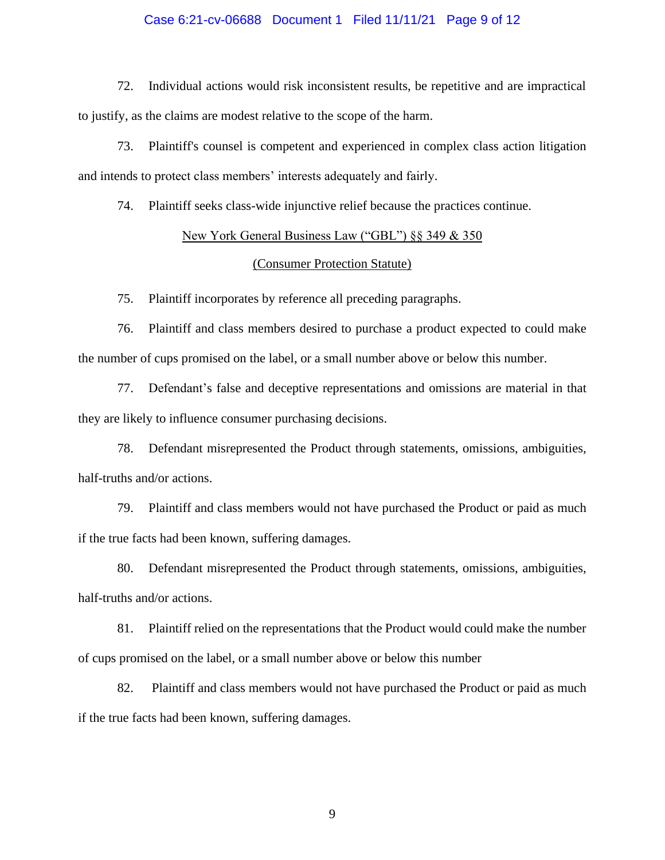## Case 6:21-cv-06688 Document 1 Filed 11/11/21 Page 9 of 12

72. Individual actions would risk inconsistent results, be repetitive and are impractical to justify, as the claims are modest relative to the scope of the harm.

73. Plaintiff's counsel is competent and experienced in complex class action litigation and intends to protect class members' interests adequately and fairly.

74. Plaintiff seeks class-wide injunctive relief because the practices continue.

## New York General Business Law ("GBL") §§ 349 & 350

## (Consumer Protection Statute)

75. Plaintiff incorporates by reference all preceding paragraphs.

76. Plaintiff and class members desired to purchase a product expected to could make the number of cups promised on the label, or a small number above or below this number.

77. Defendant's false and deceptive representations and omissions are material in that they are likely to influence consumer purchasing decisions.

78. Defendant misrepresented the Product through statements, omissions, ambiguities, half-truths and/or actions.

79. Plaintiff and class members would not have purchased the Product or paid as much if the true facts had been known, suffering damages.

80. Defendant misrepresented the Product through statements, omissions, ambiguities, half-truths and/or actions.

81. Plaintiff relied on the representations that the Product would could make the number of cups promised on the label, or a small number above or below this number

82. Plaintiff and class members would not have purchased the Product or paid as much if the true facts had been known, suffering damages.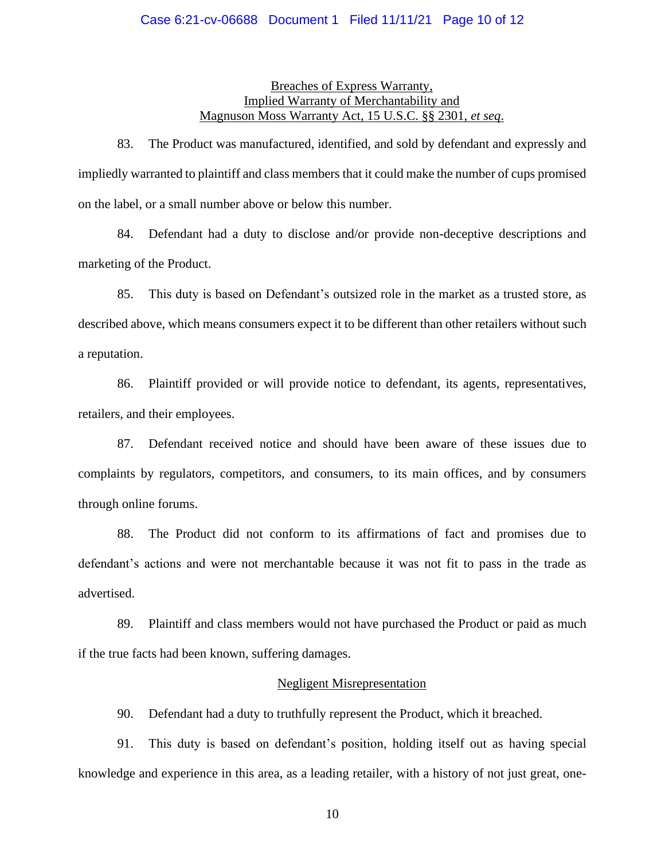## Case 6:21-cv-06688 Document 1 Filed 11/11/21 Page 10 of 12

## Breaches of Express Warranty, Implied Warranty of Merchantability and Magnuson Moss Warranty Act, 15 U.S.C. §§ 2301, *et seq*.

83. The Product was manufactured, identified, and sold by defendant and expressly and impliedly warranted to plaintiff and class members that it could make the number of cups promised on the label, or a small number above or below this number.

84. Defendant had a duty to disclose and/or provide non-deceptive descriptions and marketing of the Product.

85. This duty is based on Defendant's outsized role in the market as a trusted store, as described above, which means consumers expect it to be different than other retailers without such a reputation.

86. Plaintiff provided or will provide notice to defendant, its agents, representatives, retailers, and their employees.

87. Defendant received notice and should have been aware of these issues due to complaints by regulators, competitors, and consumers, to its main offices, and by consumers through online forums.

88. The Product did not conform to its affirmations of fact and promises due to defendant's actions and were not merchantable because it was not fit to pass in the trade as advertised.

89. Plaintiff and class members would not have purchased the Product or paid as much if the true facts had been known, suffering damages.

#### Negligent Misrepresentation

90. Defendant had a duty to truthfully represent the Product, which it breached.

91. This duty is based on defendant's position, holding itself out as having special knowledge and experience in this area, as a leading retailer, with a history of not just great, one-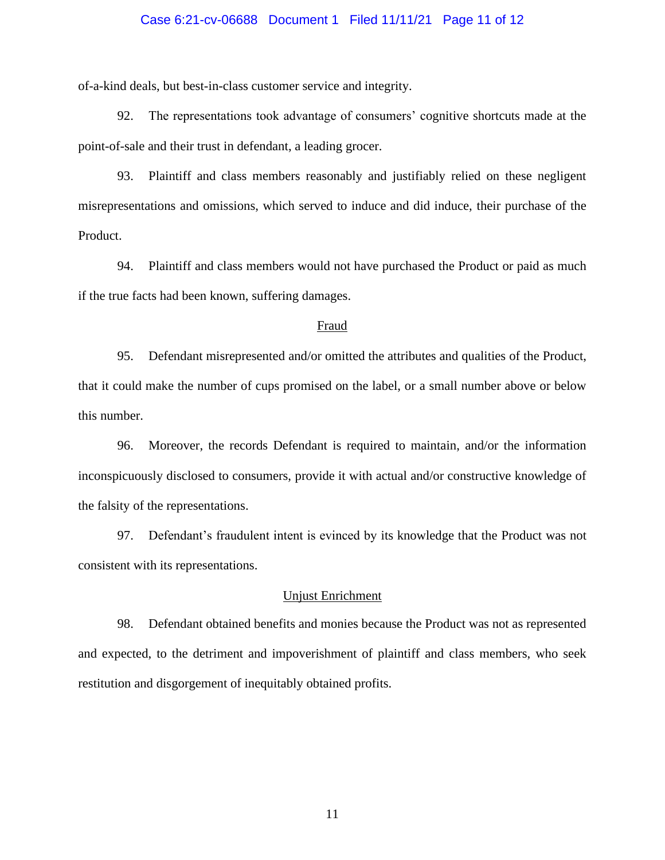## Case 6:21-cv-06688 Document 1 Filed 11/11/21 Page 11 of 12

of-a-kind deals, but best-in-class customer service and integrity.

92. The representations took advantage of consumers' cognitive shortcuts made at the point-of-sale and their trust in defendant, a leading grocer.

93. Plaintiff and class members reasonably and justifiably relied on these negligent misrepresentations and omissions, which served to induce and did induce, their purchase of the Product.

94. Plaintiff and class members would not have purchased the Product or paid as much if the true facts had been known, suffering damages.

#### Fraud

95. Defendant misrepresented and/or omitted the attributes and qualities of the Product, that it could make the number of cups promised on the label, or a small number above or below this number.

96. Moreover, the records Defendant is required to maintain, and/or the information inconspicuously disclosed to consumers, provide it with actual and/or constructive knowledge of the falsity of the representations.

97. Defendant's fraudulent intent is evinced by its knowledge that the Product was not consistent with its representations.

## Unjust Enrichment

98. Defendant obtained benefits and monies because the Product was not as represented and expected, to the detriment and impoverishment of plaintiff and class members, who seek restitution and disgorgement of inequitably obtained profits.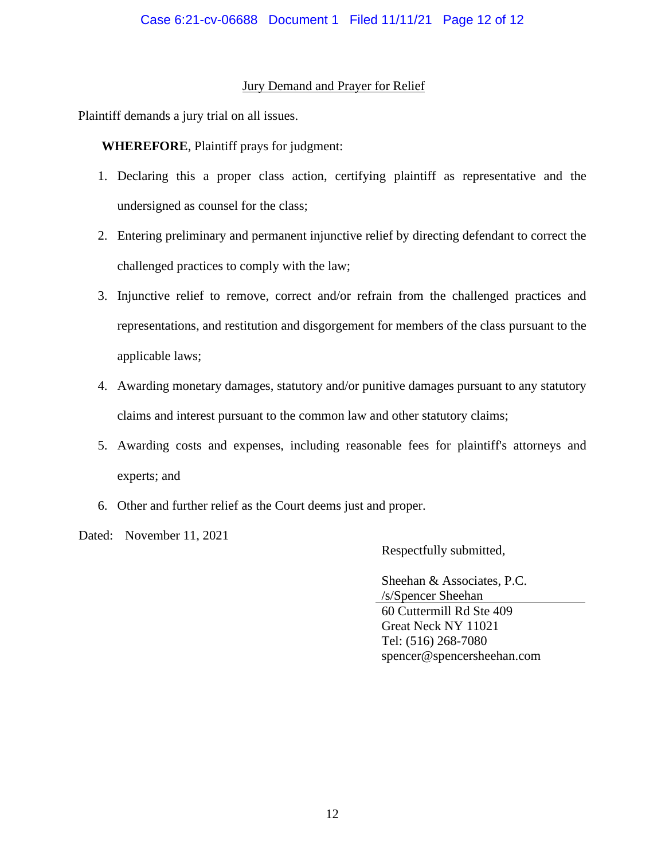## Jury Demand and Prayer for Relief

Plaintiff demands a jury trial on all issues.

**WHEREFORE**, Plaintiff prays for judgment:

- 1. Declaring this a proper class action, certifying plaintiff as representative and the undersigned as counsel for the class;
- 2. Entering preliminary and permanent injunctive relief by directing defendant to correct the challenged practices to comply with the law;
- 3. Injunctive relief to remove, correct and/or refrain from the challenged practices and representations, and restitution and disgorgement for members of the class pursuant to the applicable laws;
- 4. Awarding monetary damages, statutory and/or punitive damages pursuant to any statutory claims and interest pursuant to the common law and other statutory claims;
- 5. Awarding costs and expenses, including reasonable fees for plaintiff's attorneys and experts; and
- 6. Other and further relief as the Court deems just and proper.

Dated: November 11, 2021

Respectfully submitted,

Sheehan & Associates, P.C. /s/Spencer Sheehan 60 Cuttermill Rd Ste 409 Great Neck NY 11021 Tel: (516) 268-7080 spencer@spencersheehan.com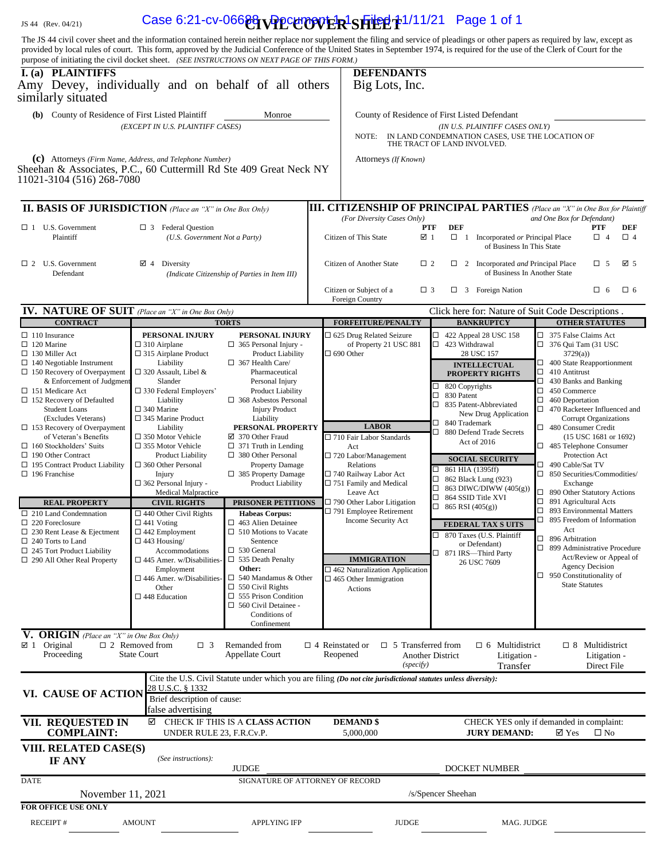## JS 44 (Rev. 04/21) **Case 6:21-cv-06688 UPPCCOVER SHEET** 1/11/21 Page 1 of 1

The JS 44 civil cover sheet and the information contained herein neither replace nor supplement the filing and service of pleadings or other papers as required by law, except as provided by local rules of court. This form, approved by the Judicial Conference of the United States in September 1974, is required for the use of the Clerk of Court for the purpose of initiating the civil docket sheet. *(SEE INSTRUCTIONS ON NEXT PAGE OF THIS FORM.)* **I. (a) PLAINTIFFS DEFENDANTS** Amy Devey, individually and on behalf of all others similarly situated Big Lots, Inc. (b) County of Residence of First Listed Plaintiff Monroe County of Residence of First Listed Defendant  *(EXCEPT IN U.S. PLAINTIFF CASES) (IN U.S. PLAINTIFF CASES ONLY)* NOTE: IN LAND CONDEMNATION CASES, USE THE LOCATION OF THE TRACT OF LAND INVOLVED.  **(c)** Attorneys *(Firm Name, Address, and Telephone Number)* Attorneys *(If Known)* Sheehan & Associates, P.C., 60 Cuttermill Rd Ste 409 Great Neck NY 11021-3104 (516) 268-7080 **III. BASIS OF JURISDICTION** *(Place an "X" in One Box Only)* **III. CITIZENSHIP OF PRINCIPAL PARTIES** *(Place an "X" in One Box for Plaintiff*<br>*(For Diversity Cases Only) and One Box for Defendant*) *(f)* and One Box for Defendant) **PTF DEF**  1 U.S. Government 3 Federal Question **PTF DEF PTF DEF** Plaintiff *(U.S. Government Not a Party)* Citizen of This State **⊠** 1 **□** 1 Incorporated *or* Principal Place **□** 4 **□** 4 of Business In This State 2 U.S. Government 4 Diversity Citizen of Another State 2 2 Incorporated *and* Principal Place 5 5 Defendant (Indicate Citizenship of Parties in Item III) Citizen or Subject of a  $\Box$  3  $\Box$  3 Foreign Nation  $\Box$  6  $\Box$  6  $\Box$  6 Foreign Country **IV. NATURE OF SUIT** (Place an "X" in One Box Only) **Click here for: Nature of Suit Code Descriptions .<br>
<b>CONTRACT IFOREEITURE/PENALTY | BANKRUPTCY | OTHER STATUTES**  $FORFETTURE/PENALTTY$ □ 110 Insurance  $\Box$  120 Marine  $\Box$  130 Miller Act 140 Negotiable Instrument □ 150 Recovery of Overpayment  $&$  Enforcement of Judgmen □ 151 Medicare Act □ 152 Recovery of Defaulted Student Loans (Excludes Veterans)  $\Box$  153 Recovery of Overpayment of Veteran's Benefits 160 Stockholders' Suits 190 Other Contract □ 195 Contract Product Liability □ 196 Franchise **PERSONAL INJURY**  $\Box$  310 Airplane □ 315 Airplane Product Liability 320 Assault, Libel & Slander □ 330 Federal Employers' Liability □ 340 Marine □ 345 Marine Product Liability □ 350 Motor Vehicle 355 Motor Vehicle Product Liability □ 360 Other Personal Injury 362 Personal Injury - Medical Malpractice **PERSONAL INJURY** 365 Personal Injury - Product Liability 367 Health Care/ Pharmaceutical Personal Injury Product Liability 368 Asbestos Personal Injury Product Liability **PERSONAL PROPERTY** ■ 370 Other Fraud □ 371 Truth in Lending 380 Other Personal Property Damage 385 Property Damage Product Liability □ 625 Drug Related Seizure of Property 21 USC 881  $\Box$  690 Other □ 422 Appeal 28 USC 158 □ 423 Withdrawal 28 USC 157 □ 375 False Claims Act  $\Box$  376 Qui Tam (31 USC 3729(a)) □ 400 State Reapportionment  $\Box$  410 Antitrust<br> $\Box$  430 Banks an 430 Banks and Banking □ 450 Commerce  $\Box$  460 Deportation □ 470 Racketeer Influenced and Corrupt Organizations □ 480 Consumer Credit (15 USC 1681 or 1692) 485 Telephone Consumer Protection Act 490 Cable/Sat TV □ 850 Securities/Commodities/ Exchange □ 890 Other Statutory Actions □ 891 Agricultural Acts □ 893 Environmental Matters □ 895 Freedom of Information Act □ 896 Arbitration □ 899 Administrative Procedure Act/Review or Appeal of Agency Decision □ 950 Constitutionality of State Statutes **INTELLECTUAL PROPERTY RIGHTS**  $\overline{\Box}$  820 Copyrights  $\Box$  830 Patent 835 Patent-Abbreviated New Drug Application 840 Trademark □ 880 Defend Trade Secrets Act of 2016 **LABOR** 710 Fair Labor Standards Act □ 720 Labor/Management Relations  $\Box$ <br> 740 Railway Labor Act □ 751 Family and Medical Leave Act □ 790 Other Labor Litigation □ 791 Employee Retirement Income Security Act **SOCIAL SECURITY**  $\Box$  861 HIA (1395ff)<br> $\Box$  862 Black Lung (9  $\Box$  862 Black Lung (923)<br> $\Box$  863 DIWC/DIWW (40) 863 DIWC/DIWW (405(g)) □ 864 SSID Title XVI **REAL PROPERTY CIVIL RIGHTS PRISONER PETITIONS**  $\Box$  790 Other Labor Litigation  $\Box$  865 RSI (405(g)) 210 Land Condemnation □ 220 Foreclosure 230 Rent Lease & Ejectment □ 240 Torts to Land 245 Tort Product Liability 290 All Other Real Property □ 440 Other Civil Rights □ 441 Voting 442 Employment  $\Box$  443 Housing/ Accommodations  $\Box$  445 Amer. w/Disabilities Employment 446 Amer. w/Disabilities- Other □ 448 Education  **Habeas Corpus:**  $\Box$  463 Alien Detainee □ 510 Motions to Vacate Sentence □ 530 General □ 535 Death Penalty **Other:** 540 Mandamus & Other  $\square$  550 Civil Rights □ 555 Prison Condition 560 Civil Detainee - Conditions of Confinement **FEDERAL TAX S UITS** □ 870 Taxes (U.S. Plaintiff or Defendant) □ 871 IRS—Third Party<br>26 USC 7609 **IMMIGRATION**  $\square$  462 Naturalization Application □ 465 Other Immigration Actions **V. ORIGIN** *(Place an "X" in One Box Only)*  $\boxtimes$  1 Original  $\Box$  2 Removed from Original 
□ 2 Removed from 
□ 3 Remanded from 
□ 4 Reinstated or □ 5 Transferred from □ 6 Multidistrict □ 8 Multidistrict <br>Proceeding State Court Appellate Court Reopened Another District Litigation - Litigation -Appellate Court  *(specify)* Litigation - Litigation - Transfer Direct File Cite the U.S. Civil Statute under which you are filing *(Do not cite jurisdictional statutes unless diversity):* **VI. CAUSE OF ACTION** 28 U.S.C. § 1332 Brief description of cause: false advertising  **VII. REQUESTED IN COMPLAINT:** СHECK IF THIS IS A **CLASS ACTION DEMAND \$** CHECK YES only if demanded in complaint: UNDER RULE 23, F.R.Cv.P. 5,000,000 **JURY DEMAND:**  $\Box$  Yes  $\Box$  No **VIII. RELATED CASE(S) IF ANY** *(See instructions):* JUDGE DOCKET NUMBER DATE SIGNATURE OF ATTORNEY OF RECORD November 11, 2021 /s/Spencer Sheehan  **FOR OFFICE USE ONLY** RECEIPT # AMOUNT APPLYING IFP JUDGE MAG. JUDGE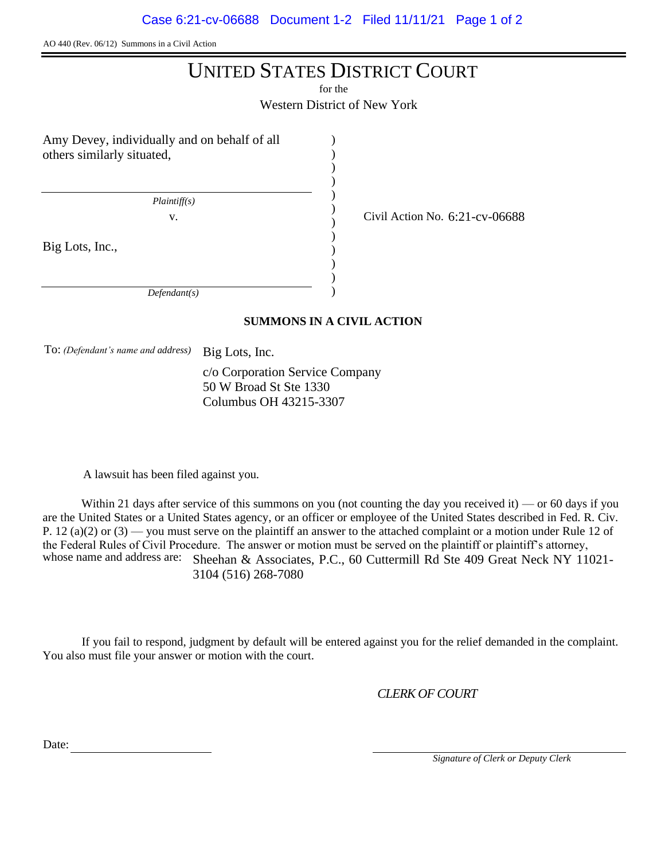AO 440 (Rev. 06/12) Summons in a Civil Action

# UNITED STATES DISTRICT COURT

for the

Western District of New York

) ) ) ) ) ) ) ) ) ) ) )

Amy Devey, individually and on behalf of all others similarly situated,

 *Plaintiff(s)*

Big Lots, Inc.,

v.  $\frac{1}{2}$  Civil Action No. 6:21-cv-06688

 *Defendant(s)*

## **SUMMONS IN A CIVIL ACTION**

To: *(Defendant's name and address)* Big Lots, Inc.

c/o Corporation Service Company 50 W Broad St Ste 1330 Columbus OH 43215-3307

A lawsuit has been filed against you.

Within 21 days after service of this summons on you (not counting the day you received it) — or 60 days if you are the United States or a United States agency, or an officer or employee of the United States described in Fed. R. Civ. P. 12 (a)(2) or  $(3)$  — you must serve on the plaintiff an answer to the attached complaint or a motion under Rule 12 of the Federal Rules of Civil Procedure. The answer or motion must be served on the plaintiff or plaintiff's attorney, whose name and address are: Sheehan & Associates, P.C., 60 Cuttermill Rd Ste 409 Great Neck NY 11021-3104 (516) 268-7080

If you fail to respond, judgment by default will be entered against you for the relief demanded in the complaint. You also must file your answer or motion with the court.

*CLERK OF COURT*

Date:

 *Signature of Clerk or Deputy Clerk*